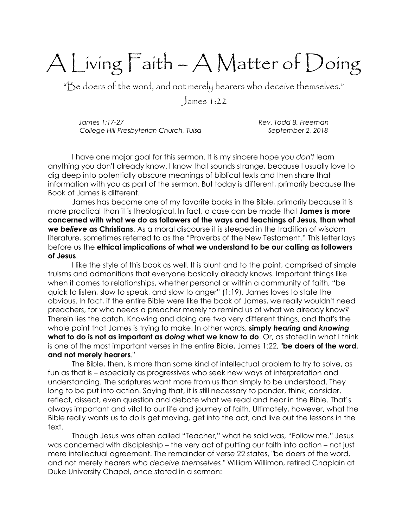## A Living Faith – A Matter of Doing

"Be doers of the word, and not merely hearers who deceive themselves."

James 1:22

James 1:17-27 Rev. Todd B. Freeman College Hill Presbyterian Church, Tulsa September 2, 2018

I have one major goal for this sermon. It is my sincere hope you don't learn anything you don't already know. I know that sounds strange, because I usually love to dig deep into potentially obscure meanings of biblical texts and then share that information with you as part of the sermon. But today is different, primarily because the Book of James is different.

James has become one of my favorite books in the Bible, primarily because it is more practical than it is theological. In fact, a case can be made that **James is more** concerned with what we do as followers of the ways and teachings of Jesus, than what we believe as Christians. As a moral discourse it is steeped in the tradition of wisdom literature, sometimes referred to as the "Proverbs of the New Testament." This letter lays before us the ethical implications of what we understand to be our calling as followers of Jesus.

I like the style of this book as well. It is blunt and to the point, comprised of simple truisms and admonitions that everyone basically already knows. Important things like when it comes to relationships, whether personal or within a community of faith, "be quick to listen, slow to speak, and slow to anger" (1:19). James loves to state the obvious. In fact, if the entire Bible were like the book of James, we really wouldn't need preachers, for who needs a preacher merely to remind us of what we already know? Therein lies the catch. Knowing and doing are two very different things, and that's the whole point that James is trying to make. In other words, **simply hearing and knowing** what to do is not as important as doing what we know to do. Or, as stated in what I think is one of the most important verses in the entire Bible, James 1:22, "be doers of the word, and not merely hearers."

The Bible, then, is more than some kind of intellectual problem to try to solve, as fun as that is – especially as progressives who seek new ways of interpretation and understanding. The scriptures want more from us than simply to be understood. They long to be put into action. Saying that, it is still necessary to ponder, think, consider, reflect, dissect, even question and debate what we read and hear in the Bible. That's always important and vital to our life and journey of faith. Ultimately, however, what the Bible really wants us to do is get moving, get into the act, and live out the lessons in the text.

Though Jesus was often called "Teacher," what he said was, "Follow me." Jesus was concerned with discipleship – the very act of putting our faith into action – not just mere intellectual agreement. The remainder of verse 22 states, "be doers of the word, and not merely hearers who deceive themselves." William Willimon, retired Chaplain at Duke University Chapel, once stated in a sermon: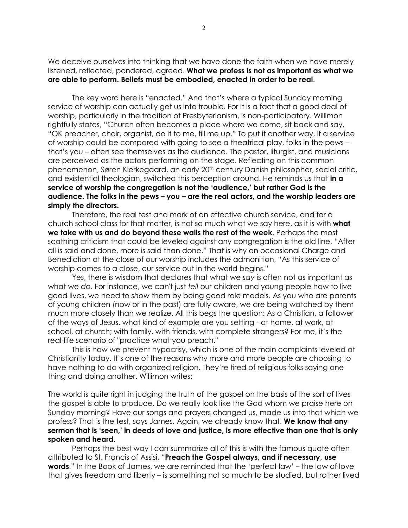We deceive ourselves into thinking that we have done the faith when we have merely listened, reflected, pondered, agreed. What we profess is not as important as what we are able to perform. Beliefs must be embodied, enacted in order to be real.

The key word here is "enacted." And that's where a typical Sunday morning service of worship can actually get us into trouble. For it is a fact that a good deal of worship, particularly in the tradition of Presbyterianism, is non-participatory. Willimon rightfully states, "Church often becomes a place where we come, sit back and say, "OK preacher, choir, organist, do it to me, fill me up." To put it another way, if a service of worship could be compared with going to see a theatrical play, folks in the pews – that's you – often see themselves as the audience. The pastor, liturgist, and musicians are perceived as the actors performing on the stage. Reflecting on this common phenomenon, Søren Kierkegaard, an early 20th century Danish philosopher, social critic, and existential theologian, switched this perception around. He reminds us that in a service of worship the congregation is not the 'audience,' but rather God is the audience. The folks in the pews – you – are the real actors, and the worship leaders are simply the directors.

Therefore, the real test and mark of an effective church service, and for a church school class for that matter, is not so much what we say here, as it is with **what** we take with us and do beyond these walls the rest of the week. Perhaps the most scathing criticism that could be leveled against any congregation is the old line, "After all is said and done, more is said than done." That is why an occasional Charge and Benediction at the close of our worship includes the admonition, "As this service of worship comes to a close, our service out in the world begins."

Yes, there is wisdom that declares that what we say is often not as important as what we do. For instance, we can't just tell our children and young people how to live good lives, we need to show them by being good role models. As you who are parents of young children (now or in the past) are fully aware, we are being watched by them much more closely than we realize. All this begs the question: As a Christian, a follower of the ways of Jesus, what kind of example are you setting - at home, at work, at school, at church; with family, with friends, with complete strangers? For me, it's the real-life scenario of "practice what you preach."

This is how we prevent hypocrisy, which is one of the main complaints leveled at Christianity today. It's one of the reasons why more and more people are choosing to have nothing to do with organized religion. They're tired of religious folks saying one thing and doing another. Willimon writes:

The world is quite right in judging the truth of the gospel on the basis of the sort of lives the gospel is able to produce. Do we really look like the God whom we praise here on Sunday morning? Have our songs and prayers changed us, made us into that which we profess? That is the test, says James. Again, we already know that. We know that any sermon that is 'seen,' in deeds of love and justice, is more effective than one that is only spoken and heard.

Perhaps the best way I can summarize all of this is with the famous quote often attributed to St. Francis of Assisi, "Preach the Gospel always, and if necessary, use words." In the Book of James, we are reminded that the 'perfect law' – the law of love that gives freedom and liberty – is something not so much to be studied, but rather lived